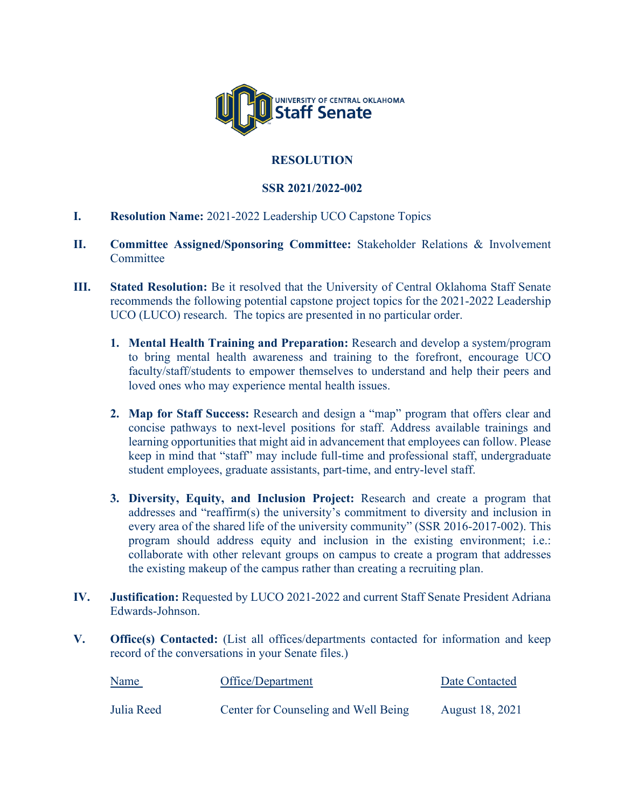

## **RESOLUTION**

## **SSR 2021/2022-002**

- **I. Resolution Name:** 2021-2022 Leadership UCO Capstone Topics
- **II. Committee Assigned/Sponsoring Committee:** Stakeholder Relations & Involvement **Committee**
- **III.** Stated Resolution: Be it resolved that the University of Central Oklahoma Staff Senate recommends the following potential capstone project topics for the 2021-2022 Leadership UCO (LUCO) research. The topics are presented in no particular order.
	- **1. Mental Health Training and Preparation:** Research and develop a system/program to bring mental health awareness and training to the forefront, encourage UCO faculty/staff/students to empower themselves to understand and help their peers and loved ones who may experience mental health issues.
	- **2. Map for Staff Success:** Research and design a "map" program that offers clear and concise pathways to next-level positions for staff. Address available trainings and learning opportunities that might aid in advancement that employees can follow. Please keep in mind that "staff" may include full-time and professional staff, undergraduate student employees, graduate assistants, part-time, and entry-level staff.
	- **3. Diversity, Equity, and Inclusion Project:** Research and create a program that addresses and "reaffirm(s) the university's commitment to diversity and inclusion in every area of the shared life of the university community" (SSR 2016-2017-002). This program should address equity and inclusion in the existing environment; i.e.: collaborate with other relevant groups on campus to create a program that addresses the existing makeup of the campus rather than creating a recruiting plan.
- **IV. Justification:** Requested by LUCO 2021-2022 and current Staff Senate President Adriana Edwards-Johnson.
- **V. Office(s) Contacted:** (List all offices/departments contacted for information and keep record of the conversations in your Senate files.)

| Name       | Office/Department                    | Date Contacted         |
|------------|--------------------------------------|------------------------|
| Julia Reed | Center for Counseling and Well Being | <b>August 18, 2021</b> |